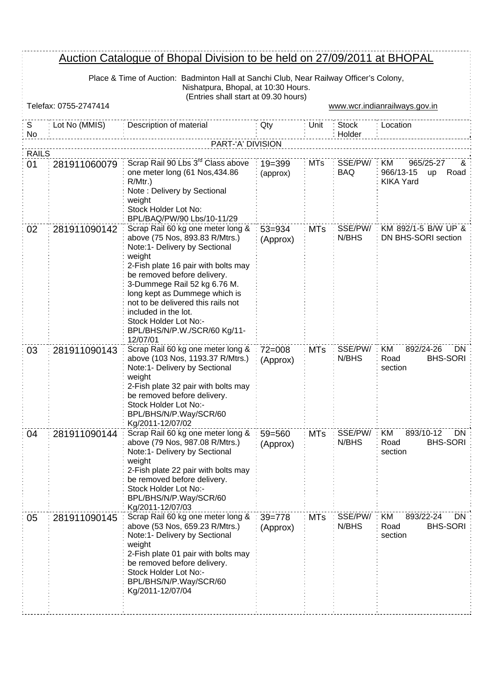## Auction Catalogue of Bhopal Division to be held on 27/09/2011 at BHOPAL

Place & Time of Auction: Badminton Hall at Sanchi Club, Near Railway Officer's Colony, Nishatpura, Bhopal, at 10:30 Hours. (Entries shall start at 09.30 hours)

|                    | Telefax: 0755-2747414 | TETTUTES STRIT STATE AT 09.00 HOURS!                                                                                                                                                                                                                                                                                                                                                     |                        |            |                        | www.wcr.indianrailways.gov.in                                        |  |
|--------------------|-----------------------|------------------------------------------------------------------------------------------------------------------------------------------------------------------------------------------------------------------------------------------------------------------------------------------------------------------------------------------------------------------------------------------|------------------------|------------|------------------------|----------------------------------------------------------------------|--|
| S<br>No            | Lot No (MMIS)         | Description of material                                                                                                                                                                                                                                                                                                                                                                  | Qty                    | Unit       | <b>Stock</b><br>Holder | Location                                                             |  |
|                    | PART-'A' DIVISION     |                                                                                                                                                                                                                                                                                                                                                                                          |                        |            |                        |                                                                      |  |
| <b>RAILS</b><br>01 | 281911060079          | Scrap Rail 90 Lbs 3 <sup>rd</sup> Class above<br>one meter long (61 Nos, 434.86<br>$R/Mtr.$ )<br>Note: Delivery by Sectional<br>weight<br>Stock Holder Lot No:<br>BPL/BAQ/PW/90 Lbs/10-11/29                                                                                                                                                                                             | $19 = 399$<br>(approx) | <b>MTs</b> | SSE/PW/<br><b>BAQ</b>  | 965/25-27<br>KM<br>୪⊾<br>966/13-15<br>Road<br>up<br><b>KIKA Yard</b> |  |
| 02                 | 281911090142          | Scrap Rail 60 kg one meter long &<br>above (75 Nos, 893.83 R/Mtrs.)<br>Note:1- Delivery by Sectional<br>weight<br>2-Fish plate 16 pair with bolts may<br>be removed before delivery.<br>3-Dummege Rail 52 kg 6.76 M.<br>long kept as Dummege which is<br>not to be delivered this rails not<br>included in the lot.<br>Stock Holder Lot No:-<br>BPL/BHS/N/P.W./SCR/60 Kg/11-<br>12/07/01 | $53 = 934$<br>(Approx) | <b>MTs</b> | SSE/PW/<br>N/BHS       | KM 892/1-5 B/W UP &<br>DN BHS-SORI section                           |  |
| 03                 | 281911090143          | Scrap Rail 60 kg one meter long &<br>above (103 Nos, 1193.37 R/Mtrs.)<br>Note:1- Delivery by Sectional<br>weight<br>2-Fish plate 32 pair with bolts may<br>be removed before delivery.<br>Stock Holder Lot No:-<br>BPL/BHS/N/P.Way/SCR/60<br>Kg/2011-12/07/02                                                                                                                            | $72 = 008$<br>(Approx) | <b>MTs</b> | SSE/PW/<br>N/BHS       | <b>KM</b><br>892/24-26<br>DN<br><b>BHS-SORI</b><br>Road<br>section   |  |
| 04                 | 281911090144          | Scrap Rail 60 kg one meter long &<br>above (79 Nos, 987.08 R/Mtrs.)<br>Note:1- Delivery by Sectional<br>weight<br>2-Fish plate 22 pair with bolts may<br>be removed before delivery.<br>Stock Holder Lot No:-<br>BPL/BHS/N/P.Way/SCR/60<br>Kg/2011-12/07/03                                                                                                                              | $59 = 560$<br>(Approx) | <b>MTs</b> | SSE/PW/<br>N/BHS       | ΚM<br>893/10-12<br>DN.<br><b>BHS-SORI</b><br>Road<br>section         |  |
| 05                 | 281911090145          | Scrap Rail 60 kg one meter long &<br>above (53 Nos, 659.23 R/Mtrs.)<br>Note:1- Delivery by Sectional<br>weight<br>2-Fish plate 01 pair with bolts may<br>be removed before delivery.<br>Stock Holder Lot No:-<br>BPL/BHS/N/P.Way/SCR/60<br>Kg/2011-12/07/04                                                                                                                              | $39 = 778$<br>(Approx) | <b>MTs</b> | SSE/PW/<br>N/BHS       | <b>KM</b><br>893/22-24<br>DN.<br><b>BHS-SORI</b><br>Road<br>section  |  |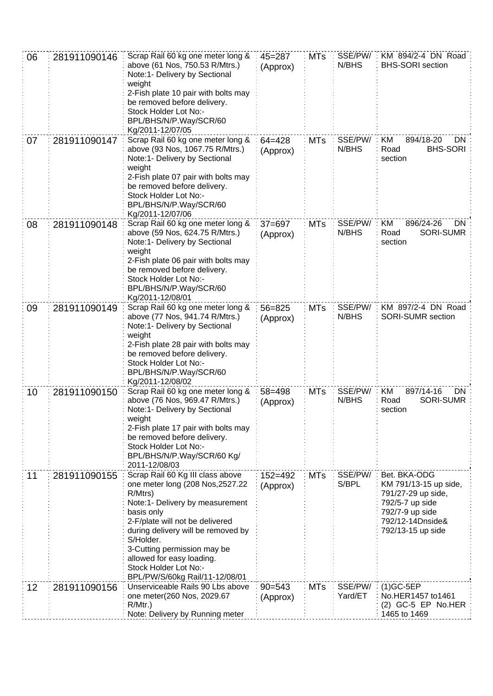| 06 | 281911090146 | Scrap Rail 60 kg one meter long &<br>above (61 Nos, 750.53 R/Mtrs.)<br>Note:1- Delivery by Sectional<br>weight<br>2-Fish plate 10 pair with bolts may<br>be removed before delivery.<br>Stock Holder Lot No:-<br>BPL/BHS/N/P.Way/SCR/60<br>Kg/2011-12/07/05                                                                                   | $45 = 287$<br>(Approx)  | <b>MTs</b> | SSE/PW/<br>N/BHS   | KM 894/2-4 DN Road<br><b>BHS-SORI</b> section                                                                                              |
|----|--------------|-----------------------------------------------------------------------------------------------------------------------------------------------------------------------------------------------------------------------------------------------------------------------------------------------------------------------------------------------|-------------------------|------------|--------------------|--------------------------------------------------------------------------------------------------------------------------------------------|
| 07 | 281911090147 | Scrap Rail 60 kg one meter long &<br>above (93 Nos, 1067.75 R/Mtrs.)<br>Note:1- Delivery by Sectional<br>weight<br>2-Fish plate 07 pair with bolts may<br>be removed before delivery.<br>Stock Holder Lot No:-<br>BPL/BHS/N/P.Way/SCR/60<br>Kg/2011-12/07/06                                                                                  | $64 = 428$<br>(Approx)  | <b>MTs</b> | SSE/PW/<br>N/BHS   | KM<br>894/18-20<br>DN.<br><b>BHS-SORI</b><br>Road<br>section                                                                               |
| 08 | 281911090148 | Scrap Rail 60 kg one meter long &<br>above (59 Nos, 624.75 R/Mtrs.)<br>Note:1- Delivery by Sectional<br>weight<br>2-Fish plate 06 pair with bolts may<br>be removed before delivery.<br>Stock Holder Lot No:-<br>BPL/BHS/N/P.Way/SCR/60<br>Kg/2011-12/08/01                                                                                   | $37 = 697$<br>(Approx)  | <b>MTs</b> | SSE/PW/<br>N/BHS   | 896/24-26<br>KM<br>DN<br><b>SORI-SUMR</b><br>Road<br>section                                                                               |
| 09 | 281911090149 | Scrap Rail 60 kg one meter long &<br>above (77 Nos, 941.74 R/Mtrs.)<br>Note:1- Delivery by Sectional<br>weight<br>2-Fish plate 28 pair with bolts may<br>be removed before delivery.<br>Stock Holder Lot No:-<br>BPL/BHS/N/P.Way/SCR/60<br>Kg/2011-12/08/02                                                                                   | $56 = 825$<br>(Approx)  | <b>MTs</b> | SSE/PW/<br>N/BHS   | KM 897/2-4 DN Road<br>SORI-SUMR section                                                                                                    |
| 10 | 281911090150 | Scrap Rail 60 kg one meter long &<br>above (76 Nos, 969.47 R/Mtrs.)<br>Note:1- Delivery by Sectional<br>weight<br>2-Fish plate 17 pair with bolts may<br>be removed before delivery.<br>Stock Holder Lot No:-<br>BPL/BHS/N/P.Way/SCR/60 Kg/<br>2011-12/08/03                                                                                  | $58 = 498$<br>(Approx)  | <b>MTs</b> | SSE/PW/<br>N/BHS   | KM<br>897/14-16<br>DN<br><b>SORI-SUMR</b><br>Road<br>section                                                                               |
| 11 | 281911090155 | Scrap Rail 60 Kg III class above<br>one meter long (208 Nos, 2527.22<br>R/Mtrs)<br>Note:1- Delivery by measurement<br>basis only<br>2-F/plate will not be delivered<br>during delivery will be removed by<br>S/Holder.<br>3-Cutting permission may be<br>allowed for easy loading.<br>Stock Holder Lot No:-<br>BPL/PW/S/60kg Rail/11-12/08/01 | $152 = 492$<br>(Approx) | <b>MTs</b> | SSE/PW/<br>S/BPL   | Bet. BKA-ODG<br>KM 791/13-15 up side,<br>791/27-29 up side,<br>792/5-7 up side<br>792/7-9 up side<br>792/12-14Dnside&<br>792/13-15 up side |
| 12 | 281911090156 | Unserviceable Rails 90 Lbs above<br>one meter(260 Nos, 2029.67<br>R/Mtr.)<br>Note: Delivery by Running meter                                                                                                                                                                                                                                  | $90 = 543$<br>(Approx)  | <b>MTs</b> | SSE/PW/<br>Yard/ET | $(1)$ GC-5EP<br>No.HER1457 to1461<br>$(2)$ GC-5 EP No.HER<br>1465 to 1469                                                                  |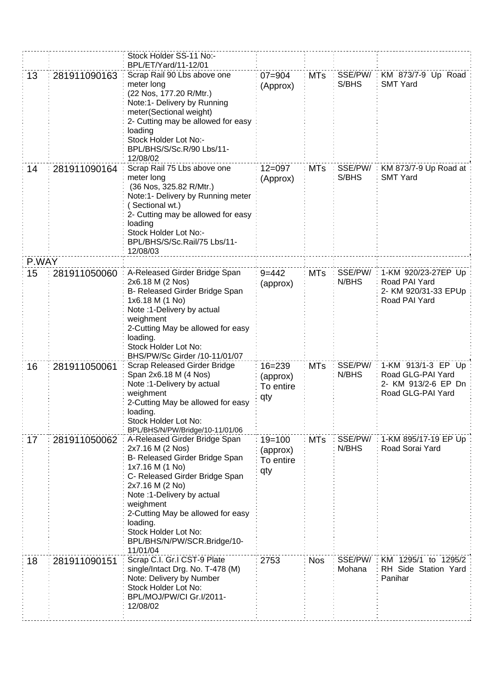|       |              | Stock Holder SS-11 No:-<br>BPL/ET/Yard/11-12/01                                                                                                                                                                                                                                                                            |                                            |            |                   |                                                                                     |
|-------|--------------|----------------------------------------------------------------------------------------------------------------------------------------------------------------------------------------------------------------------------------------------------------------------------------------------------------------------------|--------------------------------------------|------------|-------------------|-------------------------------------------------------------------------------------|
| 13    | 281911090163 | Scrap Rail 90 Lbs above one<br>meter long<br>(22 Nos, 177.20 R/Mtr.)<br>Note:1- Delivery by Running<br>meter(Sectional weight)<br>2- Cutting may be allowed for easy<br>loading<br>Stock Holder Lot No:-<br>BPL/BHS/S/Sc.R/90 Lbs/11-<br>12/08/02                                                                          | $07 = 904$<br>(Approx)                     | <b>MTs</b> | SSE/PW/<br>S/BHS  | KM 873/7-9 Up Road<br><b>SMT Yard</b>                                               |
| 14    | 281911090164 | Scrap Rail 75 Lbs above one<br>meter long<br>(36 Nos, 325.82 R/Mtr.)<br>Note:1- Delivery by Running meter<br>(Sectional wt.)<br>2- Cutting may be allowed for easy<br>loading<br>Stock Holder Lot No:-<br>BPL/BHS/S/Sc.Rail/75 Lbs/11-<br>12/08/03                                                                         | $12 = 097$<br>(Approx)                     | <b>MTs</b> | SSE/PW/<br>S/BHS  | KM 873/7-9 Up Road at<br><b>SMT Yard</b>                                            |
| P.WAY |              |                                                                                                                                                                                                                                                                                                                            |                                            |            |                   |                                                                                     |
| 15    | 281911050060 | A-Released Girder Bridge Span<br>2x6.18 M (2 Nos)<br>B- Released Girder Bridge Span<br>1x6.18 M (1 No)<br>Note : 1-Delivery by actual<br>weighment<br>2-Cutting May be allowed for easy<br>loading.<br>Stock Holder Lot No:<br>BHS/PW/Sc Girder /10-11/01/07                                                               | $9 = 442$<br>(approx)                      | <b>MTs</b> | SSE/PW/<br>N/BHS  | 1-KM 920/23-27EP Up<br>Road PAI Yard<br>2- KM 920/31-33 EPUp<br>Road PAI Yard       |
| 16    | 281911050061 | Scrap Released Girder Bridge<br>Span 2x6.18 M (4 Nos)<br>Note : 1-Delivery by actual<br>weighment<br>2-Cutting May be allowed for easy<br>loading.<br>Stock Holder Lot No:<br>BPL/BHS/N/PW/Bridge/10-11/01/06                                                                                                              | $16 = 239$<br>(approx)<br>To entire<br>qty | <b>MTs</b> | SSE/PW/<br>N/BHS  | 1-KM 913/1-3 EP Up<br>Road GLG-PAI Yard<br>2- KM 913/2-6 EP Dn<br>Road GLG-PAI Yard |
| 17    | 281911050062 | A-Released Girder Bridge Span<br>2x7.16 M (2 Nos)<br>B- Released Girder Bridge Span<br>1x7.16 M (1 No)<br>C- Released Girder Bridge Span<br>2x7.16 M (2 No)<br>Note: 1-Delivery by actual<br>weighment<br>2-Cutting May be allowed for easy<br>loading.<br>Stock Holder Lot No:<br>BPL/BHS/N/PW/SCR.Bridge/10-<br>11/01/04 | $19 = 100$<br>(approx)<br>To entire<br>qty | <b>MTs</b> | SSE/PW/:<br>N/BHS | 1-KM 895/17-19 EP Up<br>Road Sorai Yard                                             |
| 18    | 281911090151 | Scrap C.I. Gr.I CST-9 Plate<br>single/Intact Drg. No. T-478 (M)<br>Note: Delivery by Number<br>Stock Holder Lot No:<br>BPL/MOJ/PW/CI Gr.I/2011-<br>12/08/02                                                                                                                                                                | 2753                                       | <b>Nos</b> | SSE/PW/<br>Mohana | KM 1295/1 to 1295/2<br>RH Side Station Yard<br>Panihar                              |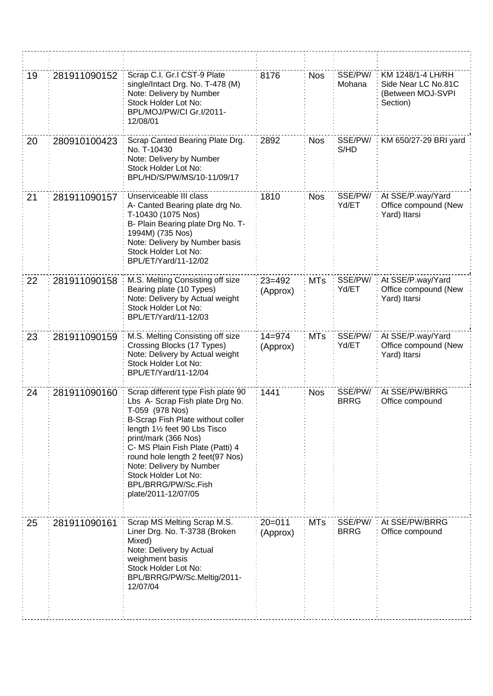| 19 | 281911090152 | Scrap C.I. Gr.I CST-9 Plate<br>single/Intact Drg. No. T-478 (M)<br>Note: Delivery by Number<br>Stock Holder Lot No:<br>BPL/MOJ/PW/CI Gr.I/2011-<br>12/08/01                                                                                                                                                                                                      | 8176                   | <b>Nos</b> | SSE/PW/<br>Mohana      | KM 1248/1-4 LH/RH<br>Side Near LC No.81C<br>(Between MOJ-SVPI<br>Section) |
|----|--------------|------------------------------------------------------------------------------------------------------------------------------------------------------------------------------------------------------------------------------------------------------------------------------------------------------------------------------------------------------------------|------------------------|------------|------------------------|---------------------------------------------------------------------------|
| 20 | 280910100423 | Scrap Canted Bearing Plate Drg.<br>No. T-10430<br>Note: Delivery by Number<br>Stock Holder Lot No:<br>BPL/HD/S/PW/MS/10-11/09/17                                                                                                                                                                                                                                 | 2892                   | <b>Nos</b> | SSE/PW/<br>S/HD        | KM 650/27-29 BRI yard                                                     |
| 21 | 281911090157 | Unserviceable III class<br>A- Canted Bearing plate drg No.<br>T-10430 (1075 Nos)<br>B- Plain Bearing plate Drg No. T-<br>1994M) (735 Nos)<br>Note: Delivery by Number basis<br>Stock Holder Lot No:<br>BPL/ET/Yard/11-12/02                                                                                                                                      | 1810                   | <b>Nos</b> | SSE/PW/<br>Yd/ET       | At SSE/P.way/Yard<br>Office compound (New<br>Yard) Itarsi                 |
| 22 | 281911090158 | M.S. Melting Consisting off size<br>Bearing plate (10 Types)<br>Note: Delivery by Actual weight<br>Stock Holder Lot No:<br>BPL/ET/Yard/11-12/03                                                                                                                                                                                                                  | $23 = 492$<br>(Approx) | <b>MTs</b> | SSE/PW/<br>Yd/ET       | At SSE/P.way/Yard<br>Office compound (New<br>Yard) Itarsi                 |
| 23 | 281911090159 | M.S. Melting Consisting off size<br>Crossing Blocks (17 Types)<br>Note: Delivery by Actual weight<br>Stock Holder Lot No:<br>BPL/ET/Yard/11-12/04                                                                                                                                                                                                                | $14 = 974$<br>(Approx) | <b>MTs</b> | SSE/PW/<br>Yd/ET       | At SSE/P.way/Yard<br>Office compound (New<br>Yard) Itarsi                 |
| 24 | 281911090160 | Scrap different type Fish plate 90<br>Lbs A- Scrap Fish plate Drg No.<br>T-059 (978 Nos)<br>B-Scrap Fish Plate without coller<br>length 11/2 feet 90 Lbs Tisco<br>print/mark (366 Nos)<br>C- MS Plain Fish Plate (Patti) 4<br>round hole length 2 feet(97 Nos)<br>Note: Delivery by Number<br>Stock Holder Lot No:<br>BPL/BRRG/PW/Sc.Fish<br>plate/2011-12/07/05 | 1441                   | <b>Nos</b> | SSE/PW/<br><b>BRRG</b> | At SSE/PW/BRRG<br>Office compound                                         |
| 25 | 281911090161 | Scrap MS Melting Scrap M.S.<br>Liner Drg. No. T-3738 (Broken<br>Mixed)<br>Note: Delivery by Actual<br>weighment basis<br>Stock Holder Lot No:<br>BPL/BRRG/PW/Sc.Meltig/2011-<br>12/07/04                                                                                                                                                                         | $20 = 011$<br>(Approx) | <b>MTs</b> | SSE/PW/<br><b>BRRG</b> | At SSE/PW/BRRG<br>Office compound                                         |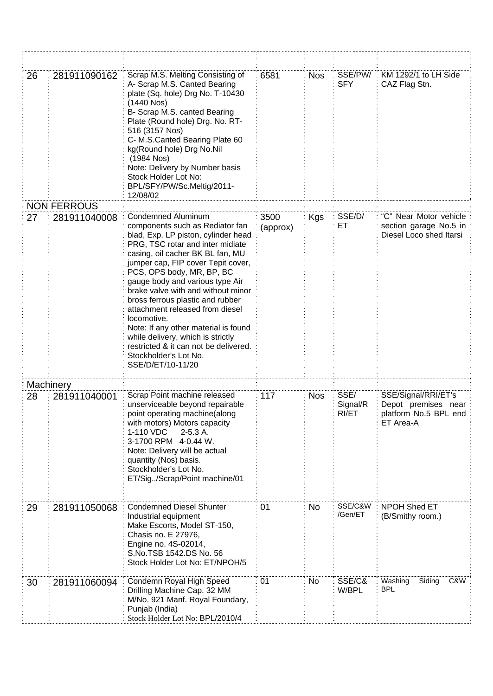| 26 | 281911090162       | Scrap M.S. Melting Consisting of<br>A- Scrap M.S. Canted Bearing<br>plate (Sq. hole) Drg No. T-10430<br>(1440 Nos)<br>B- Scrap M.S. canted Bearing<br>Plate (Round hole) Drg. No. RT-<br>516 (3157 Nos)<br>C- M.S.Canted Bearing Plate 60<br>kg(Round hole) Drg No.Nil<br>(1984 Nos)<br>Note: Delivery by Number basis<br>Stock Holder Lot No:<br>BPL/SFY/PW/Sc.Meltig/2011-<br>12/08/02                                                                                                                                                                                   | 6581             | <b>Nos</b> | SSE/PW/<br><b>SFY</b>     | KM 1292/1 to LH Side<br>CAZ Flag Stn.                                            |
|----|--------------------|----------------------------------------------------------------------------------------------------------------------------------------------------------------------------------------------------------------------------------------------------------------------------------------------------------------------------------------------------------------------------------------------------------------------------------------------------------------------------------------------------------------------------------------------------------------------------|------------------|------------|---------------------------|----------------------------------------------------------------------------------|
|    | <b>NON FERROUS</b> |                                                                                                                                                                                                                                                                                                                                                                                                                                                                                                                                                                            |                  |            |                           |                                                                                  |
| 27 | 281911040008       | Condemned Aluminum<br>components such as Rediator fan<br>blad, Exp. LP piston, cylinder head<br>PRG, TSC rotar and inter midiate<br>casing, oil cacher BK BL fan, MU<br>jumper cap, FIP cover Tepit cover,<br>PCS, OPS body, MR, BP, BC<br>gauge body and various type Air<br>brake valve with and without minor<br>bross ferrous plastic and rubber<br>attachment released from diesel<br>locomotive.<br>Note: If any other material is found<br>while delivery, which is strictly<br>restricted & it can not be delivered.<br>Stockholder's Lot No.<br>SSE/D/ET/10-11/20 | 3500<br>(approx) | Kgs        | SSE/D/<br>EТ              | "C" Near Motor vehicle<br>section garage No.5 in<br>Diesel Loco shed Itarsi      |
|    | Machinery          |                                                                                                                                                                                                                                                                                                                                                                                                                                                                                                                                                                            |                  |            |                           |                                                                                  |
| 28 | 281911040001       | Scrap Point machine released<br>unserviceable beyond repairable<br>point operating machine(along<br>with motors) Motors capacity<br>1-110 VDC<br>$2-5.3A$ .<br>3-1700 RPM 4-0.44 W.<br>Note: Delivery will be actual<br>quantity (Nos) basis.<br>Stockholder's Lot No.<br>ET/Sig. /Scrap/Point machine/01                                                                                                                                                                                                                                                                  | 117              | <b>Nos</b> | SSE/<br>Signal/R<br>RI/ET | SSE/Signal/RRI/ET's<br>Depot premises near<br>platform No.5 BPL end<br>ET Area-A |
| 29 | 281911050068       | <b>Condemned Diesel Shunter</b><br>Industrial equipment<br>Make Escorts, Model ST-150,<br>Chasis no. E 27976,<br>Engine no. 4S-02014,<br>S.No.TSB 1542.DS No. 56<br>Stock Holder Lot No: ET/NPOH/5                                                                                                                                                                                                                                                                                                                                                                         | 01               | No         | SSE/C&W<br>/Gen/ET        | <b>NPOH Shed ET</b><br>(B/Smithy room.)                                          |
| 30 | 281911060094       | Condemn Royal High Speed<br>Drilling Machine Cap. 32 MM<br>M/No. 921 Manf. Royal Foundary,<br>Punjab (India)<br>Stock Holder Lot No: BPL/2010/4                                                                                                                                                                                                                                                                                                                                                                                                                            | 01               | No         | SSE/C&<br>W/BPL           | Washing<br>C&W<br>Siding<br><b>BPL</b>                                           |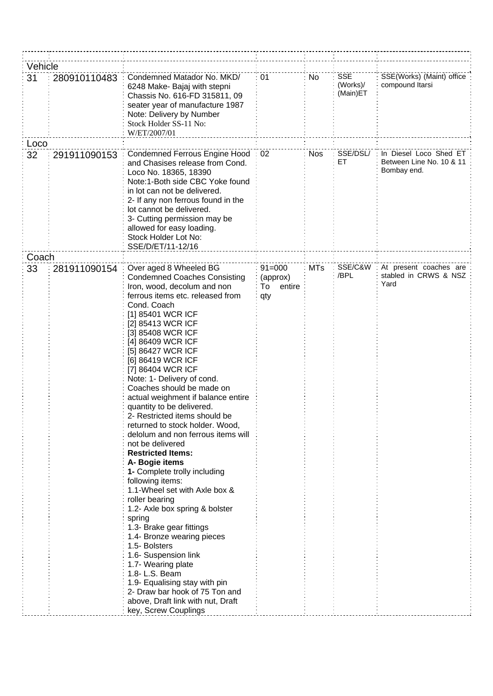| Vehicle |              |                                                                                                                                                                                                                                                                                                                                                                                                                                                                                                                                                                                                                                                                                                                                                                                                                                                                                                                                                                               |                                               |            |                                    |                                                                   |
|---------|--------------|-------------------------------------------------------------------------------------------------------------------------------------------------------------------------------------------------------------------------------------------------------------------------------------------------------------------------------------------------------------------------------------------------------------------------------------------------------------------------------------------------------------------------------------------------------------------------------------------------------------------------------------------------------------------------------------------------------------------------------------------------------------------------------------------------------------------------------------------------------------------------------------------------------------------------------------------------------------------------------|-----------------------------------------------|------------|------------------------------------|-------------------------------------------------------------------|
| 31      | 280910110483 | Condemned Matador No. MKD/<br>6248 Make- Bajaj with stepni<br>Chassis No. 616-FD 315811, 09<br>seater year of manufacture 1987<br>Note: Delivery by Number<br>Stock Holder SS-11 No:<br>W/ET/2007/01                                                                                                                                                                                                                                                                                                                                                                                                                                                                                                                                                                                                                                                                                                                                                                          | 01                                            | No         | <b>SSE</b><br>(Works)/<br>(Main)ET | SSE(Works) (Maint) office<br>compound Itarsi                      |
| Loco    |              |                                                                                                                                                                                                                                                                                                                                                                                                                                                                                                                                                                                                                                                                                                                                                                                                                                                                                                                                                                               |                                               |            |                                    |                                                                   |
| 32      | 291911090153 | Condemned Ferrous Engine Hood<br>and Chasises release from Cond.<br>Loco No. 18365, 18390<br>Note:1-Both side CBC Yoke found<br>in lot can not be delivered.<br>2- If any non ferrous found in the<br>lot cannot be delivered.<br>3- Cutting permission may be<br>allowed for easy loading.<br>Stock Holder Lot No:<br>SSE/D/ET/11-12/16                                                                                                                                                                                                                                                                                                                                                                                                                                                                                                                                                                                                                                      | 02                                            | <b>Nos</b> | SSE/DSL/<br>ET.                    | In Diesel Loco Shed ET<br>Between Line No. 10 & 11<br>Bombay end. |
| Coach   |              |                                                                                                                                                                                                                                                                                                                                                                                                                                                                                                                                                                                                                                                                                                                                                                                                                                                                                                                                                                               |                                               |            |                                    |                                                                   |
| 33      | 281911090154 | Over aged 8 Wheeled BG<br><b>Condemned Coaches Consisting</b><br>Iron, wood, decolum and non<br>ferrous items etc. released from<br>Cond. Coach<br>[1] 85401 WCR ICF<br>[2] 85413 WCR ICF<br>[3] 85408 WCR ICF<br>[4] 86409 WCR ICF<br>[5] 86427 WCR ICF<br>[6] 86419 WCR ICF<br>[7] 86404 WCR ICF<br>Note: 1- Delivery of cond.<br>Coaches should be made on<br>actual weighment if balance entire<br>quantity to be delivered.<br>2- Restricted items should be<br>returned to stock holder. Wood,<br>delolum and non ferrous items will<br>not be delivered<br><b>Restricted Items:</b><br>A- Bogie items<br>1- Complete trolly including<br>following items:<br>1.1-Wheel set with Axle box &<br>roller bearing<br>1.2- Axle box spring & bolster<br>spring<br>1.3- Brake gear fittings<br>1.4- Bronze wearing pieces<br>1.5- Bolsters<br>1.6- Suspension link<br>1.7- Wearing plate<br>1.8- L.S. Beam<br>1.9- Equalising stay with pin<br>2- Draw bar hook of 75 Ton and | $91 = 000$<br>(approx)<br>entire<br>To<br>qty | <b>MTs</b> | SSE/C&W<br>/BPL                    | At present coaches are<br>stabled in CRWS & NSZ<br>Yard           |
|         |              | above, Draft link with nut, Draft                                                                                                                                                                                                                                                                                                                                                                                                                                                                                                                                                                                                                                                                                                                                                                                                                                                                                                                                             |                                               |            |                                    |                                                                   |
|         |              | key, Screw Couplings                                                                                                                                                                                                                                                                                                                                                                                                                                                                                                                                                                                                                                                                                                                                                                                                                                                                                                                                                          |                                               |            |                                    |                                                                   |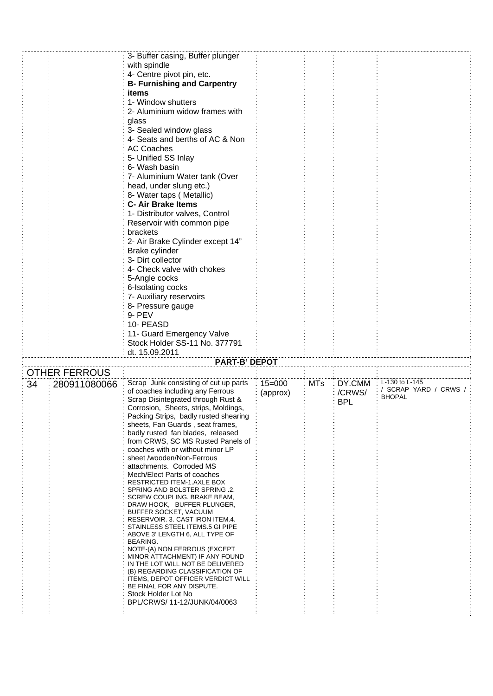|    |                      | 3- Buffer casing, Buffer plunger                                          |            |            |            |                                        |
|----|----------------------|---------------------------------------------------------------------------|------------|------------|------------|----------------------------------------|
|    |                      | with spindle                                                              |            |            |            |                                        |
|    |                      | 4- Centre pivot pin, etc.                                                 |            |            |            |                                        |
|    |                      | <b>B- Furnishing and Carpentry</b>                                        |            |            |            |                                        |
|    |                      | items                                                                     |            |            |            |                                        |
|    |                      | 1- Window shutters                                                        |            |            |            |                                        |
|    |                      | 2- Aluminium widow frames with                                            |            |            |            |                                        |
|    |                      | glass                                                                     |            |            |            |                                        |
|    |                      | 3- Sealed window glass                                                    |            |            |            |                                        |
|    |                      | 4- Seats and berths of AC & Non                                           |            |            |            |                                        |
|    |                      | <b>AC Coaches</b>                                                         |            |            |            |                                        |
|    |                      | 5- Unified SS Inlay                                                       |            |            |            |                                        |
|    |                      | 6- Wash basin                                                             |            |            |            |                                        |
|    |                      | 7- Aluminium Water tank (Over                                             |            |            |            |                                        |
|    |                      | head, under slung etc.)                                                   |            |            |            |                                        |
|    |                      | 8- Water taps (Metallic)                                                  |            |            |            |                                        |
|    |                      | <b>C-Air Brake Items</b>                                                  |            |            |            |                                        |
|    |                      | 1- Distributor valves, Control                                            |            |            |            |                                        |
|    |                      | Reservoir with common pipe                                                |            |            |            |                                        |
|    |                      | brackets                                                                  |            |            |            |                                        |
|    |                      | 2- Air Brake Cylinder except 14"                                          |            |            |            |                                        |
|    |                      | Brake cylinder                                                            |            |            |            |                                        |
|    |                      | 3- Dirt collector                                                         |            |            |            |                                        |
|    |                      | 4- Check valve with chokes                                                |            |            |            |                                        |
|    |                      | 5-Angle cocks                                                             |            |            |            |                                        |
|    |                      | 6-Isolating cocks                                                         |            |            |            |                                        |
|    |                      | 7- Auxiliary reservoirs                                                   |            |            |            |                                        |
|    |                      | 8- Pressure gauge                                                         |            |            |            |                                        |
|    |                      | 9- PEV                                                                    |            |            |            |                                        |
|    |                      | 10- PEASD                                                                 |            |            |            |                                        |
|    |                      | 11- Guard Emergency Valve                                                 |            |            |            |                                        |
|    |                      |                                                                           |            |            |            |                                        |
|    |                      |                                                                           |            |            |            |                                        |
|    |                      | Stock Holder SS-11 No. 377791                                             |            |            |            |                                        |
|    |                      | dt. 15.09.2011                                                            |            |            |            |                                        |
|    |                      | <b>PART-B' DEPOT</b>                                                      |            |            |            |                                        |
|    | <b>OTHER FERROUS</b> |                                                                           |            |            |            |                                        |
| 34 | 280911080066         | Scrap Junk consisting of cut up parts                                     | $15 = 000$ | <b>MTs</b> | DY.CMM     | L-130 to L-145                         |
|    |                      | of coaches including any Ferrous                                          | (approx)   |            | /CRWS/     | / SCRAP YARD / CRWS /<br><b>BHOPAL</b> |
|    |                      | Scrap Disintegrated through Rust &                                        |            |            | <b>BPL</b> |                                        |
|    |                      | Corrosion, Sheets, strips, Moldings,                                      |            |            |            |                                        |
|    |                      | Packing Strips, badly rusted shearing<br>sheets, Fan Guards, seat frames, |            |            |            |                                        |
|    |                      | badly rusted fan blades, released                                         |            |            |            |                                        |
|    |                      | from CRWS, SC MS Rusted Panels of                                         |            |            |            |                                        |
|    |                      | coaches with or without minor LP                                          |            |            |            |                                        |
|    |                      | sheet /wooden/Non-Ferrous                                                 |            |            |            |                                        |
|    |                      | attachments. Corroded MS                                                  |            |            |            |                                        |
|    |                      | Mech/Elect Parts of coaches                                               |            |            |            |                                        |
|    |                      | <b>RESTRICTED ITEM-1.AXLE BOX</b>                                         |            |            |            |                                        |
|    |                      | SPRING AND BOLSTER SPRING .2.<br>SCREW COUPLING. BRAKE BEAM,              |            |            |            |                                        |
|    |                      | DRAW HOOK, BUFFER PLUNGER,                                                |            |            |            |                                        |
|    |                      | BUFFER SOCKET, VACUUM                                                     |            |            |            |                                        |
|    |                      | RESERVOIR. 3. CAST IRON ITEM.4.                                           |            |            |            |                                        |
|    |                      | STAINLESS STEEL ITEMS.5 GI PIPE<br>ABOVE 3' LENGTH 6, ALL TYPE OF         |            |            |            |                                        |
|    |                      | BEARING.                                                                  |            |            |            |                                        |
|    |                      | NOTE-(A) NON FERROUS (EXCEPT                                              |            |            |            |                                        |
|    |                      | MINOR ATTACHMENT) IF ANY FOUND                                            |            |            |            |                                        |
|    |                      | IN THE LOT WILL NOT BE DELIVERED<br>(B) REGARDING CLASSIFICATION OF       |            |            |            |                                        |
|    |                      | <b>ITEMS, DEPOT OFFICER VERDICT WILL</b>                                  |            |            |            |                                        |
|    |                      | BE FINAL FOR ANY DISPUTE.                                                 |            |            |            |                                        |
|    |                      | Stock Holder Lot No                                                       |            |            |            |                                        |
|    |                      | BPL/CRWS/ 11-12/JUNK/04/0063                                              |            |            |            |                                        |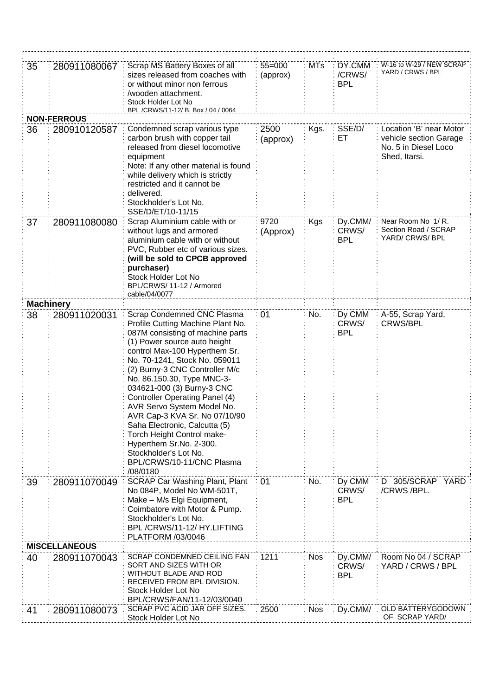| 35 | 280911080067         | Scrap MS Battery Boxes of all<br>sizes released from coaches with<br>or without minor non ferrous<br>/wooden attachment.<br>Stock Holder Lot No<br>BPL /CRWS/11-12/ B. Box / 04 / 0064                                                                                                                                                                                                                                                                                                                                                                                  | $55 = 000$<br>(approx) | <b>MTs</b> | DY.CMM<br>/CRWS/<br><b>BPL</b> | W-16 to W-29 / NEW SCRAP<br>YARD / CRWS / BPL                                              |
|----|----------------------|-------------------------------------------------------------------------------------------------------------------------------------------------------------------------------------------------------------------------------------------------------------------------------------------------------------------------------------------------------------------------------------------------------------------------------------------------------------------------------------------------------------------------------------------------------------------------|------------------------|------------|--------------------------------|--------------------------------------------------------------------------------------------|
|    | <b>NON-FERROUS</b>   |                                                                                                                                                                                                                                                                                                                                                                                                                                                                                                                                                                         |                        |            |                                |                                                                                            |
| 36 | 280910120587         | Condemned scrap various type<br>carbon brush with copper tail<br>released from diesel locomotive<br>equipment<br>Note: If any other material is found<br>while delivery which is strictly<br>restricted and it cannot be<br>delivered.<br>Stockholder's Lot No.<br>SSE/D/ET/10-11/15                                                                                                                                                                                                                                                                                    | 2500<br>(approx)       | Kgs.       | SSE/D/<br>EТ                   | Location 'B' near Motor<br>vehicle section Garage<br>No. 5 in Diesel Loco<br>Shed, Itarsi. |
| 37 | 280911080080         | Scrap Aluminium cable with or<br>without lugs and armored<br>aluminium cable with or without<br>PVC, Rubber etc of various sizes.<br>(will be sold to CPCB approved<br>purchaser)<br>Stock Holder Lot No<br>BPL/CRWS/11-12 / Armored<br>cable/04/0077                                                                                                                                                                                                                                                                                                                   | 9720<br>(Approx)       | Kgs        | Dy.CMM/<br>CRWS/<br><b>BPL</b> | Near Room No 1/R.<br>Section Road / SCRAP<br>YARD/ CRWS/ BPL                               |
|    | <b>Machinery</b>     |                                                                                                                                                                                                                                                                                                                                                                                                                                                                                                                                                                         |                        |            |                                |                                                                                            |
| 38 | 280911020031         | Scrap Condemned CNC Plasma<br>Profile Cutting Machine Plant No.<br>087M consisting of machine parts<br>(1) Power source auto height<br>control Max-100 Hyperthem Sr.<br>No. 70-1241, Stock No. 059011<br>(2) Burny-3 CNC Controller M/c<br>No. 86.150.30, Type MNC-3-<br>034621-000 (3) Burny-3 CNC<br><b>Controller Operating Panel (4)</b><br>AVR Servo System Model No.<br>AVR Cap-3 KVA Sr. No 07/10/90<br>Saha Electronic, Calcutta (5)<br>Torch Height Control make-<br>Hyperthem Sr.No. 2-300.<br>Stockholder's Lot No.<br>BPL/CRWS/10-11/CNC Plasma<br>/08/0180 | 01                     | No.        | Dy CMM<br>CRWS/<br><b>BPL</b>  | A-55, Scrap Yard,<br><b>CRWS/BPL</b>                                                       |
| 39 | 280911070049         | SCRAP Car Washing Plant, Plant<br>No 084P, Model No WM-501T,<br>Make - M/s Elgi Equipment,<br>Coimbatore with Motor & Pump.<br>Stockholder's Lot No.<br>BPL/CRWS/11-12/HY.LIFTING<br>PLATFORM /03/0046                                                                                                                                                                                                                                                                                                                                                                  | 01                     | No.        | Dy CMM<br>CRWS/<br><b>BPL</b>  | D 305/SCRAP<br>YARD<br>/CRWS/BPL.                                                          |
|    | <b>MISCELLANEOUS</b> |                                                                                                                                                                                                                                                                                                                                                                                                                                                                                                                                                                         |                        |            |                                |                                                                                            |
| 40 | 280911070043         | SCRAP CONDEMNED CEILING FAN<br>SORT AND SIZES WITH OR<br>WITHOUT BLADE AND ROD<br>RECEIVED FROM BPL DIVISION.<br>Stock Holder Lot No<br>BPL/CRWS/FAN/11-12/03/0040                                                                                                                                                                                                                                                                                                                                                                                                      | 1211                   | <b>Nos</b> | Dy.CMM/<br>CRWS/<br><b>BPL</b> | Room No 04 / SCRAP<br>YARD / CRWS / BPL                                                    |
| 41 | 280911080073         | SCRAP PVC ACID JAR OFF SIZES.<br>Stock Holder Lot No                                                                                                                                                                                                                                                                                                                                                                                                                                                                                                                    | 2500                   | <b>Nos</b> | Dy.CMM/                        | OLD BATTERYGODOWN<br>OF SCRAP YARD/                                                        |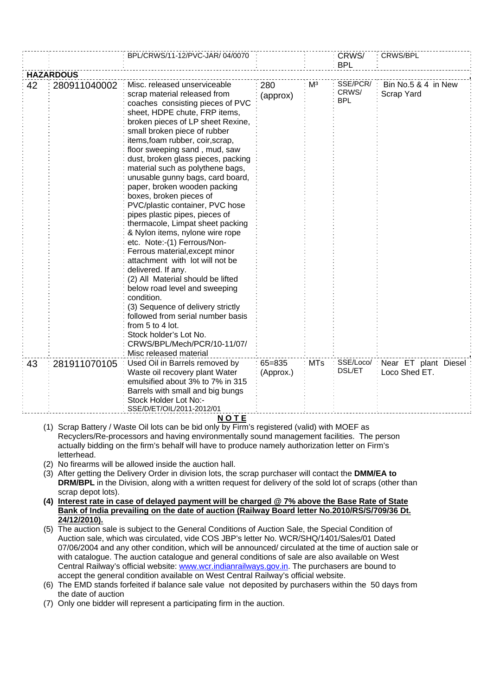|                  |              | BPL/CRWS/11-12/PVC-JAR/ 04/0070                                                                                                                                                                                                                                                                                                                                                                                                                                                                                                                                                                                                                                                                                                                                                                                                                                                                                                                                       |                         |                | CRWS/<br><b>BPL</b>             | CRWS/BPL                              |
|------------------|--------------|-----------------------------------------------------------------------------------------------------------------------------------------------------------------------------------------------------------------------------------------------------------------------------------------------------------------------------------------------------------------------------------------------------------------------------------------------------------------------------------------------------------------------------------------------------------------------------------------------------------------------------------------------------------------------------------------------------------------------------------------------------------------------------------------------------------------------------------------------------------------------------------------------------------------------------------------------------------------------|-------------------------|----------------|---------------------------------|---------------------------------------|
| <b>HAZARDOUS</b> |              |                                                                                                                                                                                                                                                                                                                                                                                                                                                                                                                                                                                                                                                                                                                                                                                                                                                                                                                                                                       |                         |                |                                 |                                       |
| 42               | 280911040002 | Misc. released unserviceable<br>scrap material released from<br>coaches consisting pieces of PVC<br>sheet, HDPE chute, FRP items,<br>broken pieces of LP sheet Rexine,<br>small broken piece of rubber<br>items, foam rubber, coir, scrap,<br>floor sweeping sand, mud, saw<br>dust, broken glass pieces, packing<br>material such as polythene bags,<br>unusable gunny bags, card board,<br>paper, broken wooden packing<br>boxes, broken pieces of<br>PVC/plastic container, PVC hose<br>pipes plastic pipes, pieces of<br>thermacole, Limpat sheet packing<br>& Nylon items, nylone wire rope<br>etc. Note:-(1) Ferrous/Non-<br>Ferrous material, except minor<br>attachment with lot will not be<br>delivered. If any.<br>(2) All Material should be lifted<br>below road level and sweeping<br>condition.<br>(3) Sequence of delivery strictly<br>followed from serial number basis<br>from 5 to 4 lot.<br>Stock holder's Lot No.<br>CRWS/BPL/Mech/PCR/10-11/07/ | 280<br>(approx)         | M <sup>3</sup> | SSE/PCR/<br>CRWS/<br><b>BPL</b> | Bin No.5 & 4 in New<br>Scrap Yard     |
| 43               | 281911070105 | Misc released material<br>Used Oil in Barrels removed by<br>Waste oil recovery plant Water<br>emulsified about 3% to 7% in 315<br>Barrels with small and big bungs<br>Stock Holder Lot No:-<br>SSE/D/ET/OIL/2011-2012/01<br><b>N A T E</b>                                                                                                                                                                                                                                                                                                                                                                                                                                                                                                                                                                                                                                                                                                                            | $65 = 835$<br>(Approx.) | <b>MTs</b>     | SSE/Loco/:<br>DSL/ET            | Near ET plant Diesel<br>Loco Shed ET. |

- **N O T E**
- (1) Scrap Battery / Waste Oil lots can be bid only by Firm's registered (valid) with MOEF as Recyclers/Re-processors and having environmentally sound management facilities. The person actually bidding on the firm's behalf will have to produce namely authorization letter on Firm's letterhead.
- (2) No firearms will be allowed inside the auction hall.
- (3) After getting the Delivery Order in division lots, the scrap purchaser will contact the **DMM/EA to DRM/BPL** in the Division, along with a written request for delivery of the sold lot of scraps (other than scrap depot lots).
- **(4) Interest rate in case of delayed payment will be charged @ 7% above the Base Rate of State Bank of India prevailing on the date of auction (Railway Board letter No.2010/RS/S/709/36 Dt. 24/12/2010).**
- (5) The auction sale is subject to the General Conditions of Auction Sale, the Special Condition of Auction sale, which was circulated, vide COS JBP's letter No. WCR/SHQ/1401/Sales/01 Dated 07/06/2004 and any other condition, which will be announced/ circulated at the time of auction sale or with catalogue. The auction catalogue and general conditions of sale are also available on West Central Railway's official website: [www.wcr.indianrailways.gov.in.](http://www.wcr.indianrailways.gov.in/) The purchasers are bound to accept the general condition available on West Central Railway's official website.
- (6) The EMD stands forfeited if balance sale value not deposited by purchasers within the 50 days from the date of auction
- (7) Only one bidder will represent a participating firm in the auction.